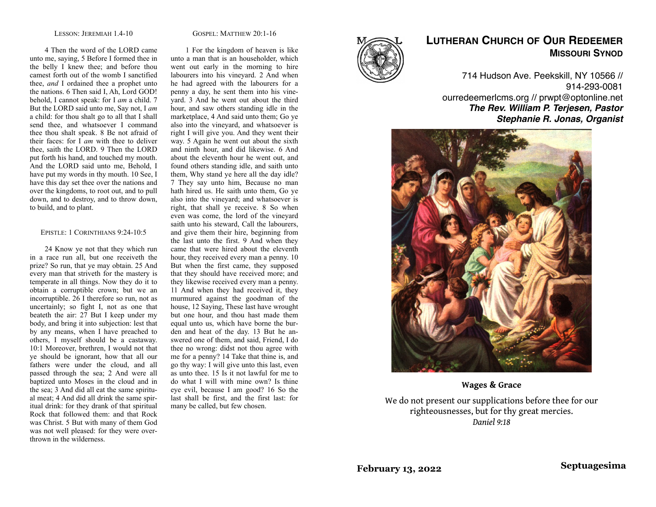#### GOSPEL: MATTHEW 20:1-16

4 Then the word of the LORD came unto me, saying, 5 Before I formed thee in the belly I knew thee; and before thou camest forth out of the womb I sanctified thee, *and* I ordained thee a prophet unto the nations. 6 Then said I, Ah, Lord GOD! behold, I cannot speak: for I *am* a child. 7 But the LORD said unto me, Say not, I *am*  a child: for thou shalt go to all that I shall send thee, and whatsoever I command thee thou shalt speak. 8 Be not afraid of their faces: for I *am* with thee to deliver thee, saith the LORD. 9 Then the LORD put forth his hand, and touched my mouth. And the LORD said unto me, Behold, I have put my words in thy mouth. 10 See, I have this day set thee over the nations and over the kingdoms, to root out, and to pull down, and to destroy, and to throw down, to build, and to plant.

#### EPISTLE: 1 CORINTHIANS 9:24-10:5

24 Know ye not that they which run in a race run all, but one receiveth the prize? So run, that ye may obtain. 25 And every man that striveth for the mastery is temperate in all things. Now they do it to obtain a corruptible crown; but we an incorruptible. 26 I therefore so run, not as uncertainly; so fight I, not as one that beateth the air: 27 But I keep under my body, and bring it into subjection: lest that by any means, when I have preached to others, I myself should be a castaway. 10:1 Moreover, brethren, I would not that ye should be ignorant, how that all our fathers were under the cloud, and all passed through the sea; 2 And were all baptized unto Moses in the cloud and in the sea; 3 And did all eat the same spiritual meat; 4 And did all drink the same spiritual drink: for they drank of that spiritual Rock that followed them: and that Rock was Christ. 5 But with many of them God was not well pleased: for they were overthrown in the wilderness.

1 For the kingdom of heaven is like unto a man that is an householder, which went out early in the morning to hire labourers into his vineyard. 2 And when he had agreed with the labourers for a penny a day, he sent them into his vineyard. 3 And he went out about the third hour, and saw others standing idle in the marketplace, 4 And said unto them; Go ye also into the vineyard, and whatsoever is right I will give you. And they went their way. 5 Again he went out about the sixth and ninth hour, and did likewise. 6 And about the eleventh hour he went out, and found others standing idle, and saith unto them, Why stand ye here all the day idle? 7 They say unto him, Because no man hath hired us. He saith unto them, Go ye also into the vineyard; and whatsoever is right, that shall ye receive. 8 So when even was come, the lord of the vineyard saith unto his steward, Call the labourers, and give them their hire, beginning from the last unto the first. 9 And when they came that were hired about the eleventh hour, they received every man a penny. 10 But when the first came, they supposed that they should have received more; and they likewise received every man a penny. 11 And when they had received it, they murmured against the goodman of the house, 12 Saying, These last have wrought but one hour, and thou hast made them equal unto us, which have borne the burden and heat of the day. 13 But he answered one of them, and said, Friend, I do thee no wrong: didst not thou agree with me for a penny? 14 Take that thine is, and go thy way: I will give unto this last, even as unto thee. 15 Is it not lawful for me to do what I will with mine own? Is thine eye evil, because I am good? 16 So the last shall be first, and the first last: for many be called, but few chosen.



# **LUTHERAN CHURCH OF OUR REDEEMER MISSOURI SYNOD**

714 Hudson Ave. Peekskill, NY 10566 // 914-293-0081 ourredeemerlcms.org // prwpt@optonline.net *The Rev. William P. Terjesen, Pastor Stephanie R. Jonas, Organist*



**Wages & Grace**

We do not present our supplications before thee for our righteousnesses, but for thy great mercies. *Daniel 9:18*